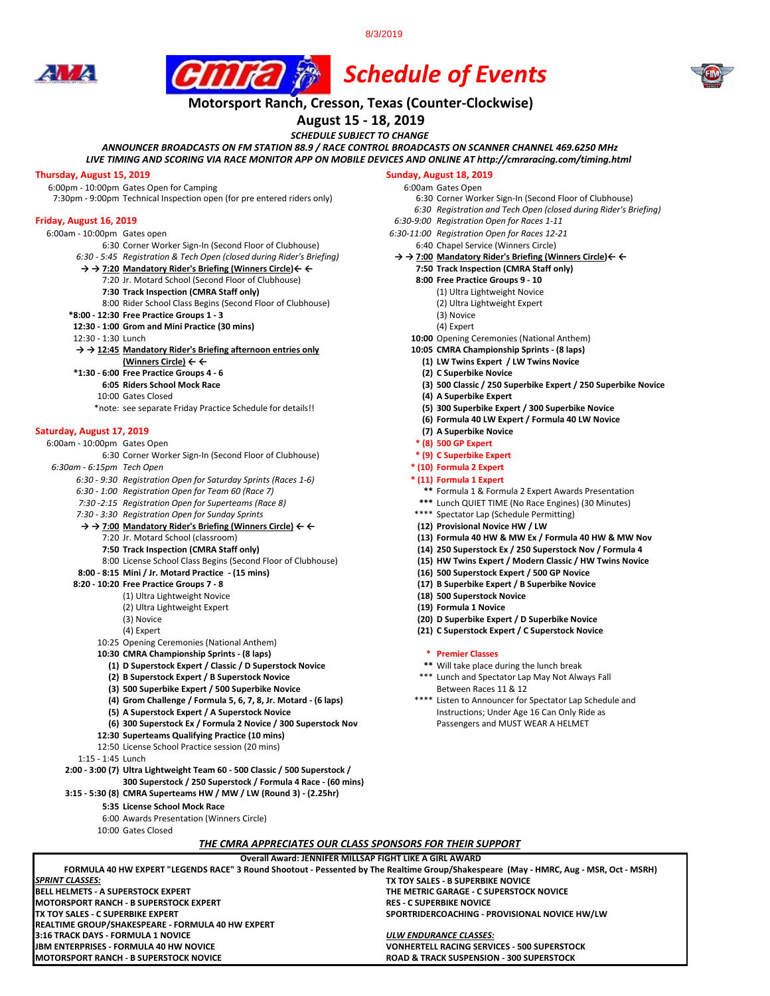8/3/2019





# *Schedule of Events*

## **Motorsport Ranch, Cresson, Texas (Counter-Clockwise)**

**August 15 - 18, 2019**

*SCHEDULE SUBJECT TO CHANGE*

*ANNOUNCER BROADCASTS ON FM STATION 88.9 / RACE CONTROL BROADCASTS ON SCANNER CHANNEL 469.6250 MHz*

*LIVE TIMING AND SCORING VIA RACE MONITOR APP ON MOBILE DEVICES AND ONLINE AT http://cmraracing.com/timing.html* 

**Thursday, August 15, 2019**<br>
6:00pm - 10:00pm Gates Open for Camping<br>
6:00am Gates Open 6.00pm Gates Open 6:00pm - 10:00pm Gates Open for Camping<br>7:30pm - 9:00pm Technical Inspection open (for pre entered riders only) 6:30 Corner Worker Sign-In (Second Floor of Clubhouse) 7:30pm - 9:00pm Technical Inspection open (for pre entered riders only)

- 
- 6:00am 10:00pm Gates open *6:30-11:00 Registration Open for Races 12-21* 6:30 Corner Worker Sign-In (Second Floor of Clubhouse) 6:40 Chapel Service (Winners Circle)<br>5:45 Registration & Tech Open (closed during Rider's Briefing)  $\rightarrow \rightarrow$  7:00 Mandatory Rider's Briefing (Winners Circle)  $\leftarrow$ 
	- *6:30 5:45 Registration & Tech Open (closed during Rider's Briefing)* **→ → 7:00 Mandatory Rider's Briefing (Winners Circle)← ←**
	- **→ → 7:20 Mandatory Rider's Briefing (Winners Circle)← ← 7:50 Track Inspection (CMRA Staff only)**
	- 7:20 Jr. Motard School (Second Floor of Clubhouse) **8:00 Free Practice Groups 9 10**
		- **7:30 Track Inspection (CMRA Staff only)** (1) Ultra Lightweight Novice 8:00 Rider School Class Begins (Second Floor of Clubhouse)
	-
	- **\*8:00 12:30 Free Practice Groups 1 3** (3) Novice **12:30 - 1:00 Grom and Mini Practice (30 mins) 12:30 - 1:30 Lunch**
	-

### **→ → 12:45 Mandatory Rider's Briefing afternoon entries only 10:05 CMRA Championship Sprints - (8 laps)**

- 
- **\*1:30 6:00 Free Practice Groups 4 6 (2) C Superbike Novice**
	-
	-
	- 10:00 Gates Closed **(4) A Superbike Expert** \*note: see separate Friday Practice Schedule for details!! **(5) 300 Superbike Expert / 300 Superbike Novice**

## **Saturday, August 17, 2019 (7) A Superbike Novice <b>(7) A Superbike Novice (7) A Superbike Novice (8) 6:00am** - 10:00pm Gates Open

6:00am - 10:00pm Gates Open **\* (8) 500 GP Expert**  6:30 Corner Worker Sign-In (Second Floor of Clubhouse)

*6:30am - 6:15pm Tech Open* **\* (10) Formula 2 Expert** 

- *6:30 9:30 Registration Open for Saturday Sprints (Races 1-6)* **\* (11) Formula 1 Expert**
- *6:30 1:00 Registration Open for Team 60 (Race 7)* **\*\*** Formula 1 & Formula 2 Expert Awards Presentation
- 
- 7:30 3:30 Registration Open for Sunday Sprints
- **→ → 7:00 Mandatory Rider's Briefing (Winners Circle) ← ← (12) Provisional Novice HW / LW**
	-
	- 8:00 License School Class Begins (Second Floor of Clubhouse) **(15) HW Twins Expert / Modern Classic / HW Twins Novice**
- **8:00 8:15 Mini / Jr. Motard Practice (15 mins)**<br>**8:20 10:20 Free Practice Groups 7 8**
- - (1) Ultra Lightweight Novice **(18) 500 Superstock Novice**  (2) Ultra Lightweight Expert **(19) Formula 1 Novice**
	-
	-
	- 10:25 Opening Ceremonies (National Anthem)
	-
	- **10:30 CMRA Championship Sprints (8 laps) \* Premier Classes** (1) D Superstock Expert / Classic / D Superstock Novice
		- **(2) B Superstock Expert / B Superstock Novice** \*\*\* Lunch and Spectator Lap May Not Always Fall
		- **(3) 500 Superbike Expert / 500 Superbike Novice <b>Between Races 11 & 12** and  $B$
		- **(4) Grom Challenge / Formula 5, 6, 7, 8, Jr. Motard (6 laps)** \*\*\*\* Listen to Announcer for Spectator Lap Schedule and
	-
	- **(5) A Superstock Expert / A Superstock Novice Instructions; Under Age 16 Can Only Ride as (6) 300 Superstock Ex / Formula 2 Novice / 300 Superstock Nov <b>Instructions** Passengers and MUST WEAR A HELMET **(6) 300 Superstock Ex / Formula 2 Novice / 300 Superstock Nov**

**BELL HELMETS - A SUPERSTOCK EXPERT THE METRIC GARAGE - C SUPERSTOCK NOVICE**

**Overall Award: JENNIFER MILLSAP FIGHT LIKE A GIRL AWARD FORMULA 40 HW EXPERT "LEGENDS RACE" 3 Round Shootout - Pessented by The Realtime Group/Shakespeare (May - HMRC, Aug - MSR, Oct - MSRH)**

*THE CMRA APPRECIATES OUR CLASS SPONSORS FOR THEIR SUPPORT*

**MOTORSPORT RANCH - B SUPERSTOCK NOVICE ROAD & TRACK SUSPENSION - 300 SUPERSTOCK**

**3:16 TRACK DAYS - FORMULA 1 NOVICE** *ULW ENDURANCE CLASSES:*

- **12:30 Superteams Qualifying Practice (10 mins)**
- 12:50 License School Practice session (20 mins)
- 1:15 1:45 Lunch
- **2:00 3:00 (7) Ultra Lightweight Team 60 500 Classic / 500 Superstock / 300 Superstock / 250 Superstock / Formula 4 Race - (60 mins)**
- **3:15 5:30 (8) CMRA Superteams HW / MW / LW (Round 3) (2.25hr)** 
	- **5:35 License School Mock Race**

**REALTIME GROUP/SHAKESPEARE - FORMULA 40 HW EXPERT**

- 6:00 Awards Presentation (Winners Circle)
- 10:00 Gates Closed

**MOTORSPORT RANCH - B SUPERSTOCK EXPERT<br>TX TOY SALES - C SUPERBIKE EXPERT** 

*SPRINT CLASSES:*

- 
- 
- *6:30 Registration and Tech Open (closed during Rider's Briefing)*
- **Friday, August 16, 2019** *6:30-9:00 Registration Open for Races 1-11*
	-
	-
	- -
		- -
			-
			-
			-
		- 10:00 Opening Ceremonies (National Anthem)
		-
	- **(Winners Circle) ← ← (1) LW Twins Expert / LW Twins Novice**
		-
		- **6:05 Riders School Mock Race (3) 500 Classic / 250 Superbike Expert / 250 Superbike Novice**
		-
		- **(6) Formula 40 LW Expert / Formula 40 LW Novice**
		-
		-
		-
		-
		- -
		-
		- *7:30 -2:15 Registration Open for Superteams (Race 8)* **\*\*\*** Lunch QUIET TIME (No Race Engines) (30 Minutes)
		-
	- 7:20 Jr. Motard School (classroom) **(13) Formula 40 HW & MW Ex / Formula 40 HW & MW Nov**
		- **7:50 Track Inspection (CMRA Staff only) (14) 250 Superstock Ex / 250 Superstock Nov / Formula 4**
		-
		-
		- **8:20 10:20 Free Practice Groups 7 8 (17) B Superbike Expert / B Superbike Novice**
		-
		-
		- (3) Novice **(20) D Superbike Expert / D Superbike Novice**
		- (4) Expert **(21) C Superstock Expert / C Superstock Novice**

**TX TOY SALES - B SUPERBIKE NOVICE**

**SPORTRIDERCOACHING - PROVISIONAL NOVICE HW/LW** 

**VONHERTELL RACING SERVICES - 500 SUPERSTOCK**